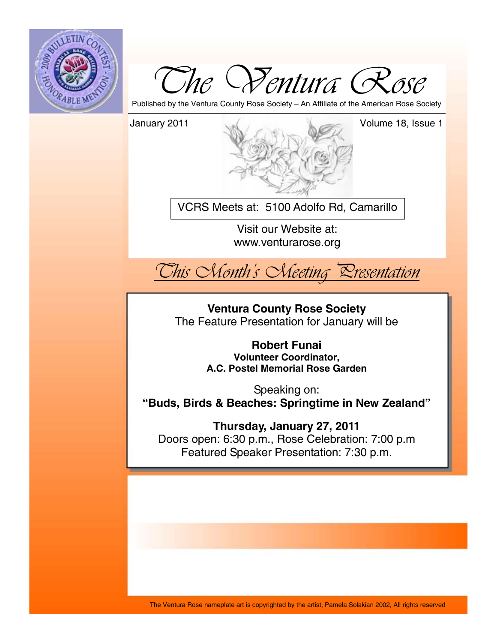



Published by the Ventura County Rose Society – An Affiliate of the American Rose Society



VCRS Meets at: 5100 Adolfo Rd, Camarillo

Visit our Website at: www.venturarose.org



**Ventura County Rose Society**  The Feature Presentation for January will be

> **Robert Funai Volunteer Coordinator, A.C. Postel Memorial Rose Garden**

Speaking on: **"Buds, Birds & Beaches: Springtime in New Zealand"**

**Thursday, January 27, 2011**  Doors open: 6:30 p.m., Rose Celebration: 7:00 p.m Featured Speaker Presentation: 7:30 p.m.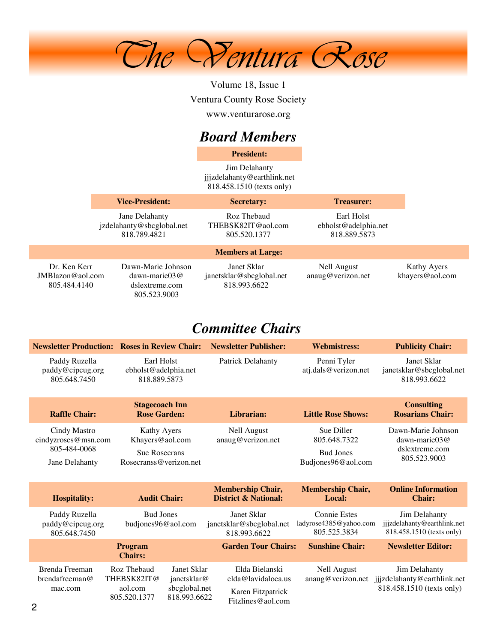

Volume 18, Issue 1 Ventura County Rose Society www.venturarose.org

# *Board Members*

**President:**

Jim Delahanty jjjzdelahanty@earthlink.net 818.458.1510 (texts only)

|                                                     | <b>Vice-President:</b>                                                         | <b>Secretary:</b>                                       | <b>Treasurer:</b>                                  |                                |
|-----------------------------------------------------|--------------------------------------------------------------------------------|---------------------------------------------------------|----------------------------------------------------|--------------------------------|
|                                                     | Jane Delahanty<br>jzdelahanty@sbcglobal.net<br>818.789.4821                    | Roz Thebaud<br>THEBSK82IT@aol.com<br>805.520.1377       | Earl Holst<br>ebholst@adelphia.net<br>818.889.5873 |                                |
|                                                     |                                                                                | <b>Members at Large:</b>                                |                                                    |                                |
| Dr. Ken Kerr<br>$JMB$ lazon@aol.com<br>805.484.4140 | Dawn-Marie Johnson<br>$dawn\text{-}marie03@$<br>dslextreme.com<br>805.523.9003 | Janet Sklar<br>janetsklar@sbcglobal.net<br>818.993.6622 | Nell August<br>anaug@verizon.net                   | Kathy Ayers<br>khayers@aol.com |

# *Committee Chairs*

|                                                                                                         | <b>Newsletter Production: Roses in Review Chair:</b>                                 | <b>Newsletter Publisher:</b>                                | <b>Webmistress:</b>                                                  | <b>Publicity Chair:</b>                                                   |
|---------------------------------------------------------------------------------------------------------|--------------------------------------------------------------------------------------|-------------------------------------------------------------|----------------------------------------------------------------------|---------------------------------------------------------------------------|
| Earl Holst<br>Paddy Ruzella<br>paddy@cipcug.org<br>ebholst@adelphia.net<br>805.648.7450<br>818.889.5873 |                                                                                      | <b>Patrick Delahanty</b>                                    | Penni Tyler<br>atj.dals@verizon.net                                  | Janet Sklar<br>janetsklar@sbcglobal.net<br>818.993.6622                   |
| <b>Raffle Chair:</b>                                                                                    | <b>Stagecoach Inn</b><br><b>Rose Garden:</b>                                         | Librarian:                                                  | <b>Little Rose Shows:</b>                                            | <b>Consulting</b><br><b>Rosarians Chair:</b>                              |
| Cindy Mastro<br>cindyzroses@msn.com<br>805-484-0068<br>Jane Delahanty                                   | Kathy Ayers<br>Khayers@aol.com<br><b>Sue Rosecrans</b><br>Rosecranss@verizon.net     | <b>Nell August</b><br>anaug@verizon.net                     | Sue Diller<br>805.648.7322<br><b>Bud Jones</b><br>Budjones96@aol.com | Dawn-Marie Johnson<br>dawn-marie $03@$<br>dslextreme.com<br>805.523.9003  |
| <b>Hospitality:</b>                                                                                     | <b>Audit Chair:</b>                                                                  | <b>Membership Chair,</b><br><b>District &amp; National:</b> | <b>Membership Chair,</b><br>Local:                                   | <b>Online Information</b><br><b>Chair:</b>                                |
| Paddy Ruzella<br>paddy@cipcug.org<br>805.648.7450                                                       | <b>Bud Jones</b><br>budjones96@aol.com                                               | Janet Sklar<br>janetsklar@sbcglobal.net<br>818.993.6622     | <b>Connie Estes</b><br>ladyrose4385@yahoo.com<br>805.525.3834        | Jim Delahanty<br>jjjzdelahanty@earthlink.net<br>818.458.1510 (texts only) |
|                                                                                                         | Program<br><b>Chairs:</b>                                                            | <b>Garden Tour Chairs:</b>                                  | <b>Sunshine Chair:</b>                                               | <b>Newsletter Editor:</b>                                                 |
| Brenda Freeman<br>brendafreeman@<br>mac.com<br>805.520.1377                                             | Roz Thebaud<br>Janet Sklar<br>THEBSK82IT@<br>janetsklar@<br>sbcglobal.net<br>aol.com | Elda Bielanski<br>elda@lavidaloca.us<br>Karen Fitzpatrick   | <b>Nell August</b><br>anaug@verizon.net                              | Jim Delahanty<br>jjjzdelahanty@earthlink.net<br>818.458.1510 (texts only) |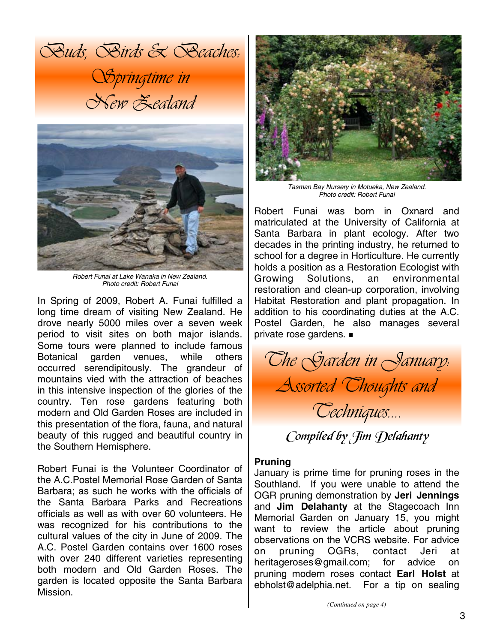*Buds, Birds & Beaches: Springtime in New Zealand* 



*Robert Funai at Lake Wanaka in New Zealand. Photo credit: Robert Funai* 

In Spring of 2009, Robert A. Funai fulfilled a long time dream of visiting New Zealand. He drove nearly 5000 miles over a seven week period to visit sites on both major islands. Some tours were planned to include famous Botanical garden venues, while others occurred serendipitously. The grandeur of mountains vied with the attraction of beaches in this intensive inspection of the glories of the country. Ten rose gardens featuring both modern and Old Garden Roses are included in this presentation of the flora, fauna, and natural beauty of this rugged and beautiful country in the Southern Hemisphere.

Robert Funai is the Volunteer Coordinator of the A.C.Postel Memorial Rose Garden of Santa Barbara; as such he works with the officials of the Santa Barbara Parks and Recreations officials as well as with over 60 volunteers. He was recognized for his contributions to the cultural values of the city in June of 2009. The A.C. Postel Garden contains over 1600 roses with over 240 different varieties representing both modern and Old Garden Roses. The garden is located opposite the Santa Barbara Mission.



*Tasman Bay Nursery in Motueka, New Zealand. Photo credit: Robert Funai* 

Robert Funai was born in Oxnard and matriculated at the University of California at Santa Barbara in plant ecology. After two decades in the printing industry, he returned to school for a degree in Horticulture. He currently holds a position as a Restoration Ecologist with Growing Solutions, an environmental restoration and clean-up corporation, involving Habitat Restoration and plant propagation. In addition to his coordinating duties at the A.C. Postel Garden, he also manages several private rose gardens.



Compiled by Jim Delahanty

#### **Pruning**

January is prime time for pruning roses in the Southland. If you were unable to attend the OGR pruning demonstration by **Jeri Jennings** and **Jim Delahanty** at the Stagecoach Inn Memorial Garden on January 15, you might want to review the article about pruning observations on the VCRS website. For advice on pruning OGRs, contact Jeri at heritageroses@gmail.com; for advice on pruning modern roses contact **Earl Holst** at ebholst@adelphia.net. For a tip on sealing

*(Continued on page 4)*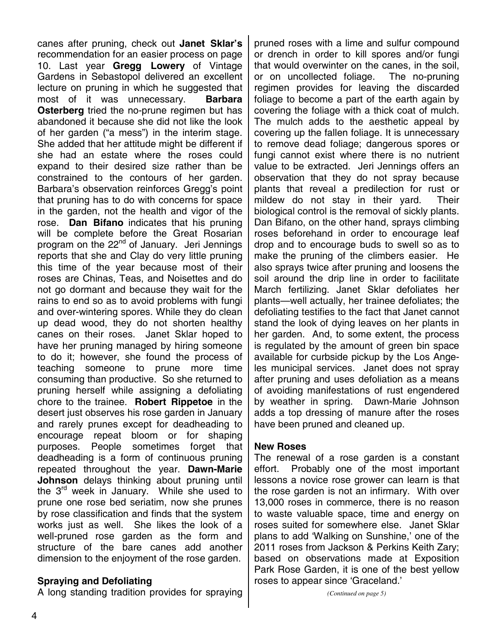canes after pruning, check out **Janet Sklar's** recommendation for an easier process on page 10. Last year **Gregg Lowery** of Vintage Gardens in Sebastopol delivered an excellent lecture on pruning in which he suggested that most of it was unnecessary. **Barbara Osterberg** tried the no-prune regimen but has abandoned it because she did not like the look of her garden ("a mess") in the interim stage. She added that her attitude might be different if she had an estate where the roses could expand to their desired size rather than be constrained to the contours of her garden. Barbara's observation reinforces Gregg's point that pruning has to do with concerns for space in the garden, not the health and vigor of the rose. **Dan Bifano** indicates that his pruning will be complete before the Great Rosarian program on the 22<sup>nd</sup> of January. Jeri Jennings reports that she and Clay do very little pruning this time of the year because most of their roses are Chinas, Teas, and Noisettes and do not go dormant and because they wait for the rains to end so as to avoid problems with fungi and over-wintering spores. While they do clean up dead wood, they do not shorten healthy canes on their roses. Janet Sklar hoped to have her pruning managed by hiring someone to do it; however, she found the process of teaching someone to prune more time consuming than productive. So she returned to pruning herself while assigning a defoliating chore to the trainee. **Robert Rippetoe** in the desert just observes his rose garden in January and rarely prunes except for deadheading to encourage repeat bloom or for shaping purposes. People sometimes forget that deadheading is a form of continuous pruning repeated throughout the year. **Dawn-Marie Johnson** delays thinking about pruning until the  $3<sup>rd</sup>$  week in January. While she used to prune one rose bed seriatim, now she prunes by rose classification and finds that the system works just as well. She likes the look of a well-pruned rose garden as the form and structure of the bare canes add another dimension to the enjoyment of the rose garden.

#### **Spraying and Defoliating**

A long standing tradition provides for spraying

pruned roses with a lime and sulfur compound or drench in order to kill spores and/or fungi that would overwinter on the canes, in the soil, or on uncollected foliage. The no-pruning regimen provides for leaving the discarded foliage to become a part of the earth again by covering the foliage with a thick coat of mulch. The mulch adds to the aesthetic appeal by covering up the fallen foliage. It is unnecessary to remove dead foliage; dangerous spores or fungi cannot exist where there is no nutrient value to be extracted. Jeri Jennings offers an observation that they do not spray because plants that reveal a predilection for rust or mildew do not stay in their yard. Their biological control is the removal of sickly plants. Dan Bifano, on the other hand, sprays climbing roses beforehand in order to encourage leaf drop and to encourage buds to swell so as to make the pruning of the climbers easier. He also sprays twice after pruning and loosens the soil around the drip line in order to facilitate March fertilizing. Janet Sklar defoliates her plants—well actually, her trainee defoliates; the defoliating testifies to the fact that Janet cannot stand the look of dying leaves on her plants in her garden. And, to some extent, the process is regulated by the amount of green bin space available for curbside pickup by the Los Angeles municipal services. Janet does not spray after pruning and uses defoliation as a means of avoiding manifestations of rust engendered by weather in spring. Dawn-Marie Johnson adds a top dressing of manure after the roses have been pruned and cleaned up.

#### **New Roses**

The renewal of a rose garden is a constant effort. Probably one of the most important lessons a novice rose grower can learn is that the rose garden is not an infirmary. With over 13,000 roses in commerce, there is no reason to waste valuable space, time and energy on roses suited for somewhere else. Janet Sklar plans to add 'Walking on Sunshine,' one of the 2011 roses from Jackson & Perkins Keith Zary; based on observations made at Exposition Park Rose Garden, it is one of the best yellow roses to appear since 'Graceland.'

*(Continued on page 5)*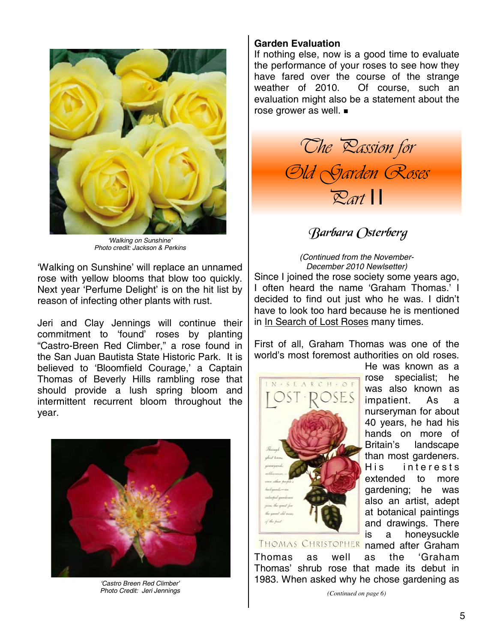

*'Walking on Sunshine' Photo credit: Jackson & Perkins* 

'Walking on Sunshine' will replace an unnamed rose with yellow blooms that blow too quickly. Next year 'Perfume Delight' is on the hit list by reason of infecting other plants with rust.

Jeri and Clay Jennings will continue their commitment to 'found' roses by planting "Castro-Breen Red Climber," a rose found in the San Juan Bautista State Historic Park. It is believed to 'Bloomfield Courage,' a Captain Thomas of Beverly Hills rambling rose that should provide a lush spring bloom and intermittent recurrent bloom throughout the year.



*'Castro Breen Red Climber' Photo Credit: Jeri Jennings* 

### **Garden Evaluation**

If nothing else, now is a good time to evaluate the performance of your roses to see how they have fared over the course of the strange weather of 2010. Of course, such an evaluation might also be a statement about the rose grower as well.



# Barbara (Isterberg

*(Continued from the November-December 2010 Newlsetter)* Since I joined the rose society some years ago,

I often heard the name 'Graham Thomas.' I decided to find out just who he was. I didn't have to look too hard because he is mentioned in In Search of Lost Roses many times.

First of all, Graham Thomas was one of the world's most foremost authorities on old roses.



He was known as a rose specialist; he was also known as impatient. As a nurseryman for about 40 years, he had his hands on more of Britain's landscape than most gardeners. His interests extended to more gardening; he was also an artist, adept at botanical paintings and drawings. There is a honeysuckle named after Graham

THOMAS CHRISTOPHER

Thomas as well as the 'Graham Thomas' shrub rose that made its debut in 1983. When asked why he chose gardening as

*(Continued on page 6)*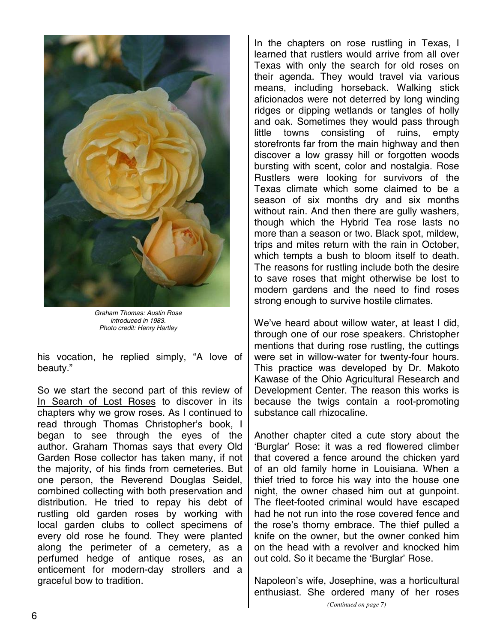

*Graham Thomas: Austin Rose introduced in 1983. Photo credit: Henry Hartley* 

his vocation, he replied simply, "A love of beauty."

So we start the second part of this review of In Search of Lost Roses to discover in its chapters why we grow roses. As I continued to read through Thomas Christopher's book, I began to see through the eyes of the author. Graham Thomas says that every Old Garden Rose collector has taken many, if not the majority, of his finds from cemeteries. But one person, the Reverend Douglas Seidel, combined collecting with both preservation and distribution. He tried to repay his debt of rustling old garden roses by working with local garden clubs to collect specimens of every old rose he found. They were planted along the perimeter of a cemetery, as a perfumed hedge of antique roses, as an enticement for modern-day strollers and a graceful bow to tradition.

In the chapters on rose rustling in Texas, I learned that rustlers would arrive from all over Texas with only the search for old roses on their agenda. They would travel via various means, including horseback. Walking stick aficionados were not deterred by long winding ridges or dipping wetlands or tangles of holly and oak. Sometimes they would pass through little towns consisting of ruins, empty storefronts far from the main highway and then discover a low grassy hill or forgotten woods bursting with scent, color and nostalgia. Rose Rustlers were looking for survivors of the Texas climate which some claimed to be a season of six months dry and six months without rain. And then there are gully washers, though which the Hybrid Tea rose lasts no more than a season or two. Black spot, mildew, trips and mites return with the rain in October, which tempts a bush to bloom itself to death. The reasons for rustling include both the desire to save roses that might otherwise be lost to modern gardens and the need to find roses strong enough to survive hostile climates.

We've heard about willow water, at least I did. through one of our rose speakers. Christopher mentions that during rose rustling, the cuttings were set in willow-water for twenty-four hours. This practice was developed by Dr. Makoto Kawase of the Ohio Agricultural Research and Development Center. The reason this works is because the twigs contain a root-promoting substance call rhizocaline.

Another chapter cited a cute story about the 'Burglar' Rose: it was a red flowered climber that covered a fence around the chicken yard of an old family home in Louisiana. When a thief tried to force his way into the house one night, the owner chased him out at gunpoint. The fleet-footed criminal would have escaped had he not run into the rose covered fence and the rose's thorny embrace. The thief pulled a knife on the owner, but the owner conked him on the head with a revolver and knocked him out cold. So it became the 'Burglar' Rose.

Napoleon's wife, Josephine, was a horticultural enthusiast. She ordered many of her roses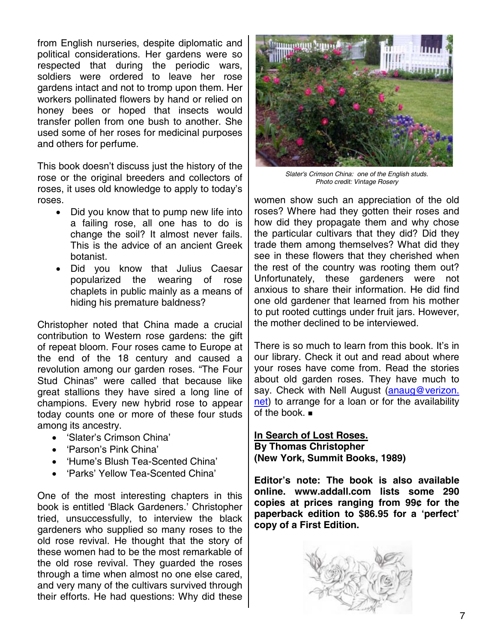from English nurseries, despite diplomatic and political considerations. Her gardens were so respected that during the periodic wars, soldiers were ordered to leave her rose gardens intact and not to tromp upon them. Her workers pollinated flowers by hand or relied on honey bees or hoped that insects would transfer pollen from one bush to another. She used some of her roses for medicinal purposes and others for perfume.

This book doesn't discuss just the history of the rose or the original breeders and collectors of roses, it uses old knowledge to apply to today's roses.

- Did you know that to pump new life into a failing rose, all one has to do is change the soil? It almost never fails. This is the advice of an ancient Greek botanist.
- Did you know that Julius Caesar popularized the wearing of rose chaplets in public mainly as a means of hiding his premature baldness?

Christopher noted that China made a crucial contribution to Western rose gardens: the gift of repeat bloom. Four roses came to Europe at the end of the 18 century and caused a revolution among our garden roses. "The Four Stud Chinas" were called that because like great stallions they have sired a long line of champions. Every new hybrid rose to appear today counts one or more of these four studs among its ancestry.

- 'Slater's Crimson China'
- 'Parson's Pink China'
- 'Hume's Blush Tea-Scented China'
- 'Parks' Yellow Tea-Scented China'

One of the most interesting chapters in this book is entitled 'Black Gardeners.' Christopher tried, unsuccessfully, to interview the black gardeners who supplied so many roses to the old rose revival. He thought that the story of these women had to be the most remarkable of the old rose revival. They guarded the roses through a time when almost no one else cared, and very many of the cultivars survived through their efforts. He had questions: Why did these



*Slater's Crimson China: one of the English studs. Photo credit: Vintage Rosery* 

women show such an appreciation of the old roses? Where had they gotten their roses and how did they propagate them and why chose the particular cultivars that they did? Did they trade them among themselves? What did they see in these flowers that they cherished when the rest of the country was rooting them out? Unfortunately, these gardeners were not anxious to share their information. He did find one old gardener that learned from his mother to put rooted cuttings under fruit jars. However, the mother declined to be interviewed.

There is so much to learn from this book. It's in our library. Check it out and read about where your roses have come from. Read the stories about old garden roses. They have much to say. Check with Nell August (anaug@verizon. net) to arrange for a loan or for the availability of the book.

#### **In Search of Lost Roses. By Thomas Christopher (New York, Summit Books, 1989)**

**Editor's note: The book is also available online. www.addall.com lists some 290 copies at prices ranging from 99¢ for the paperback edition to \$86.95 for a 'perfect' copy of a First Edition.**

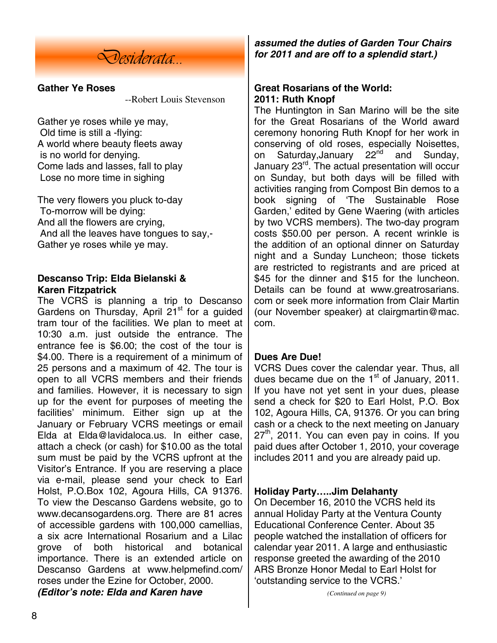

#### **Gather Ye Roses**

--Robert Louis Stevenson

Gather ye roses while ye may, Old time is still a -flying: A world where beauty fleets away is no world for denying. Come lads and lasses, fall to play Lose no more time in sighing

The very flowers you pluck to-day To-morrow will be dying: And all the flowers are crying, And all the leaves have tongues to say,- Gather ye roses while ye may.

## **Descanso Trip: Elda Bielanski & Karen Fitzpatrick**

The VCRS is planning a trip to Descanso Gardens on Thursday, April  $21<sup>st</sup>$  for a guided tram tour of the facilities. We plan to meet at 10:30 a.m. just outside the entrance. The entrance fee is \$6.00; the cost of the tour is \$4.00. There is a requirement of a minimum of 25 persons and a maximum of 42. The tour is open to all VCRS members and their friends and families. However, it is necessary to sign up for the event for purposes of meeting the facilities' minimum. Either sign up at the January or February VCRS meetings or email Elda at Elda@lavidaloca.us. In either case, attach a check (or cash) for \$10.00 as the total sum must be paid by the VCRS upfront at the Visitor's Entrance. If you are reserving a place via e-mail, please send your check to Earl Holst, P.O.Box 102, Agoura Hills, CA 91376. To view the Descanso Gardens website, go to www.decansogardens.org. There are 81 acres of accessible gardens with 100,000 camellias, a six acre International Rosarium and a Lilac grove of both historical and botanical importance. There is an extended article on Descanso Gardens at www.helpmefind.com/ roses under the Ezine for October, 2000. *(Editor's note: Elda and Karen have* 

*assumed the duties of Garden Tour Chairs for 2011 and are off to a splendid start.)* 

#### **Great Rosarians of the World: 2011: Ruth Knopf**

The Huntington in San Marino will be the site for the Great Rosarians of the World award ceremony honoring Ruth Knopf for her work in conserving of old roses, especially Noisettes, on Saturday, January 22<sup>nd</sup> and Sunday, January 23rd. The actual presentation will occur on Sunday, but both days will be filled with activities ranging from Compost Bin demos to a book signing of 'The Sustainable Rose Garden,' edited by Gene Waering (with articles by two VCRS members). The two-day program costs \$50.00 per person. A recent wrinkle is the addition of an optional dinner on Saturday night and a Sunday Luncheon; those tickets are restricted to registrants and are priced at \$45 for the dinner and \$15 for the luncheon. Details can be found at www.greatrosarians. com or seek more information from Clair Martin (our November speaker) at clairgmartin@mac. com.

## **Dues Are Due!**

VCRS Dues cover the calendar year. Thus, all dues became due on the  $1<sup>st</sup>$  of January, 2011. If you have not yet sent in your dues, please send a check for \$20 to Earl Holst, P.O. Box 102, Agoura Hills, CA, 91376. Or you can bring cash or a check to the next meeting on January 27<sup>th</sup>, 2011. You can even pay in coins. If you paid dues after October 1, 2010, your coverage includes 2011 and you are already paid up.

#### **Holiday Party…..Jim Delahanty**

On December 16, 2010 the VCRS held its annual Holiday Party at the Ventura County Educational Conference Center. About 35 people watched the installation of officers for calendar year 2011. A large and enthusiastic response greeted the awarding of the 2010 ARS Bronze Honor Medal to Earl Holst for 'outstanding service to the VCRS.'

*(Continued on page 9)*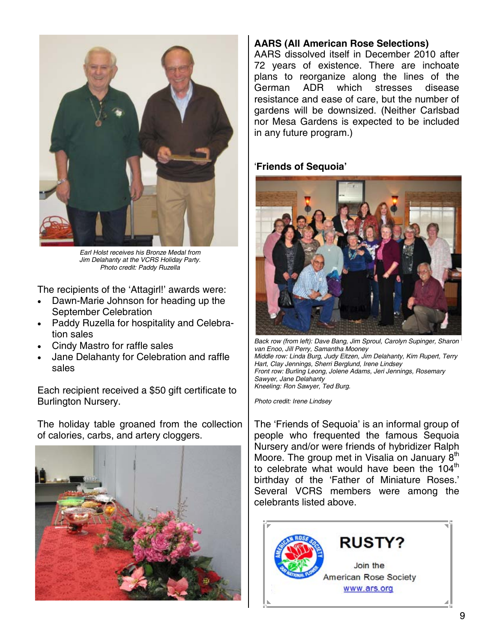

*Earl Holst receives his Bronze Medal from Jim Delahanty at the VCRS Holiday Party. Photo credit: Paddy Ruzella* 

The recipients of the 'Attagirl!' awards were:

- Dawn-Marie Johnson for heading up the September Celebration
- Paddy Ruzella for hospitality and Celebration sales
- Cindy Mastro for raffle sales
- Jane Delahanty for Celebration and raffle sales

Each recipient received a \$50 gift certificate to Burlington Nursery.

The holiday table groaned from the collection of calories, carbs, and artery cloggers.



#### **AARS (All American Rose Selections)**

AARS dissolved itself in December 2010 after 72 years of existence. There are inchoate plans to reorganize along the lines of the German ADR which stresses disease resistance and ease of care, but the number of gardens will be downsized. (Neither Carlsbad nor Mesa Gardens is expected to be included in any future program.)

#### '**Friends of Sequoia'**



*Back row (from left): Dave Bang, Jim Sproul, Carolyn Supinger, Sharon van Enoo, Jill Perry, Samantha Mooney Middle row: Linda Burg, Judy Eitzen, Jim Delahanty, Kim Rupert, Terry Hart, Clay Jennings, Sherri Berglund, Irene Lindsey Front row: Burling Leong, Jolene Adams, Jeri Jennings, Rosemary Sawyer, Jane Delahanty Kneeling: Ron Sawyer, Ted Burg.* 

*Photo credit: Irene Lindsey* 

The 'Friends of Sequoia' is an informal group of people who frequented the famous Sequoia Nursery and/or were friends of hybridizer Ralph Moore. The group met in Visalia on January 8<sup>th</sup> to celebrate what would have been the  $104<sup>th</sup>$ birthday of the 'Father of Miniature Roses.' Several VCRS members were among the celebrants listed above.

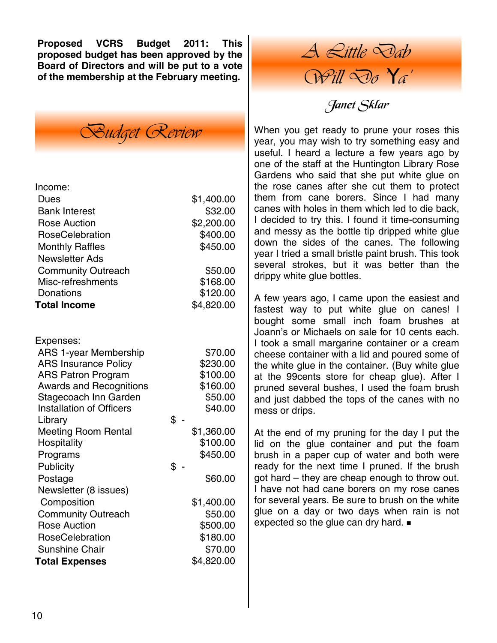**Proposed VCRS Budget 2011: This proposed budget has been approved by the Board of Directors and will be put to a vote of the membership at the February meeting.**



| Income:                                                     |                 |                      |
|-------------------------------------------------------------|-----------------|----------------------|
| <b>Dues</b>                                                 |                 | \$1,400.00           |
| <b>Bank Interest</b>                                        |                 | \$32.00              |
| <b>Rose Auction</b>                                         |                 | \$2,200.00           |
| RoseCelebration                                             |                 | \$400.00             |
| <b>Monthly Raffles</b>                                      |                 | \$450.00             |
| <b>Newsletter Ads</b>                                       |                 |                      |
| <b>Community Outreach</b>                                   |                 | \$50.00              |
| Misc-refreshments                                           |                 | \$168.00             |
| Donations                                                   |                 | \$120.00             |
| <b>Total Income</b>                                         |                 | \$4,820.00           |
|                                                             |                 |                      |
|                                                             |                 |                      |
| Expenses:                                                   |                 |                      |
| <b>ARS 1-year Membership</b>                                |                 | \$70.00              |
| <b>ARS Insurance Policy</b>                                 |                 | \$230.00<br>\$100.00 |
| <b>ARS Patron Program</b><br><b>Awards and Recognitions</b> |                 | \$160.00             |
| Stagecoach Inn Garden                                       |                 | \$50.00              |
| <b>Installation of Officers</b>                             |                 | \$40.00              |
| Library                                                     | $\mathsf{\$}$ . |                      |
| <b>Meeting Room Rental</b>                                  |                 | \$1,360.00           |
| Hospitality                                                 |                 | \$100.00             |
| Programs                                                    |                 | \$450.00             |
| Publicity                                                   | \$              |                      |
| Postage                                                     |                 | \$60.00              |
| Newsletter (8 issues)                                       |                 |                      |
| Composition                                                 |                 | \$1,400.00           |
| <b>Community Outreach</b>                                   |                 | \$50.00              |
| <b>Rose Auction</b>                                         |                 | \$500.00             |
| <b>RoseCelebration</b>                                      |                 | \$180.00             |
| <b>Sunshine Chair</b>                                       |                 | \$70.00              |
| <b>Total Expenses</b>                                       |                 | \$4,820.00           |

*A Little Dab Will Do 'Ya'* 

# Janet Sklar

When you get ready to prune your roses this year, you may wish to try something easy and useful. I heard a lecture a few years ago by one of the staff at the Huntington Library Rose Gardens who said that she put white glue on the rose canes after she cut them to protect them from cane borers. Since I had many canes with holes in them which led to die back, I decided to try this. I found it time-consuming and messy as the bottle tip dripped white glue down the sides of the canes. The following year I tried a small bristle paint brush. This took several strokes, but it was better than the drippy white glue bottles.

A few years ago, I came upon the easiest and fastest way to put white glue on canes! I bought some small inch foam brushes at Joann's or Michaels on sale for 10 cents each. I took a small margarine container or a cream cheese container with a lid and poured some of the white glue in the container. (Buy white glue at the 99cents store for cheap glue). After I pruned several bushes, I used the foam brush and just dabbed the tops of the canes with no mess or drips.

At the end of my pruning for the day I put the lid on the glue container and put the foam brush in a paper cup of water and both were ready for the next time I pruned. If the brush got hard – they are cheap enough to throw out. I have not had cane borers on my rose canes for several years. Be sure to brush on the white glue on a day or two days when rain is not expected so the glue can dry hard.  $\blacksquare$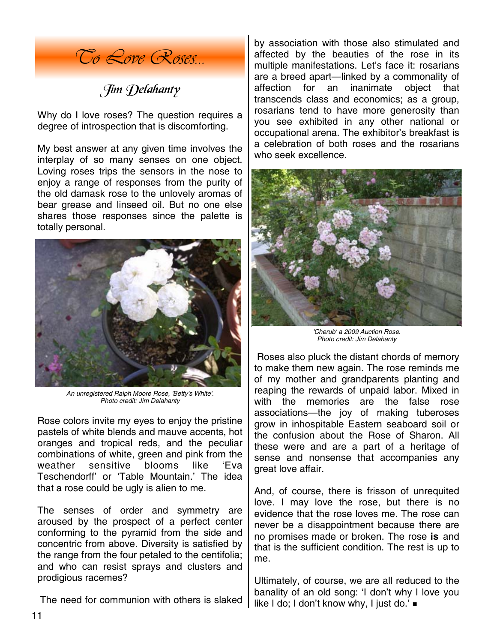

Jim Delahanty

Why do I love roses? The question requires a degree of introspection that is discomforting.

My best answer at any given time involves the interplay of so many senses on one object. Loving roses trips the sensors in the nose to enjoy a range of responses from the purity of the old damask rose to the unlovely aromas of bear grease and linseed oil. But no one else shares those responses since the palette is totally personal.



*An unregistered Ralph Moore Rose, 'Betty's White'. Photo credit: Jim Delahanty* 

Rose colors invite my eyes to enjoy the pristine pastels of white blends and mauve accents, hot oranges and tropical reds, and the peculiar combinations of white, green and pink from the weather sensitive blooms like 'Eva Teschendorff' or 'Table Mountain.' The idea that a rose could be ugly is alien to me.

The senses of order and symmetry are aroused by the prospect of a perfect center conforming to the pyramid from the side and concentric from above. Diversity is satisfied by the range from the four petaled to the centifolia; and who can resist sprays and clusters and prodigious racemes?

The need for communion with others is slaked

by association with those also stimulated and affected by the beauties of the rose in its multiple manifestations. Let's face it: rosarians are a breed apart—linked by a commonality of affection for an inanimate object that transcends class and economics; as a group, rosarians tend to have more generosity than you see exhibited in any other national or occupational arena. The exhibitor's breakfast is a celebration of both roses and the rosarians who seek excellence.



*'Cherub' a 2009 Auction Rose. Photo credit: Jim Delahanty* 

 Roses also pluck the distant chords of memory to make them new again. The rose reminds me of my mother and grandparents planting and reaping the rewards of unpaid labor. Mixed in with the memories are the false rose associations—the joy of making tuberoses grow in inhospitable Eastern seaboard soil or the confusion about the Rose of Sharon. All these were and are a part of a heritage of sense and nonsense that accompanies any great love affair.

And, of course, there is frisson of unrequited love. I may love the rose, but there is no evidence that the rose loves me. The rose can never be a disappointment because there are no promises made or broken. The rose **is** and that is the sufficient condition. The rest is up to me.

Ultimately, of course, we are all reduced to the banality of an old song: 'I don't why I love you like I do; I don't know why, I just do.' ■